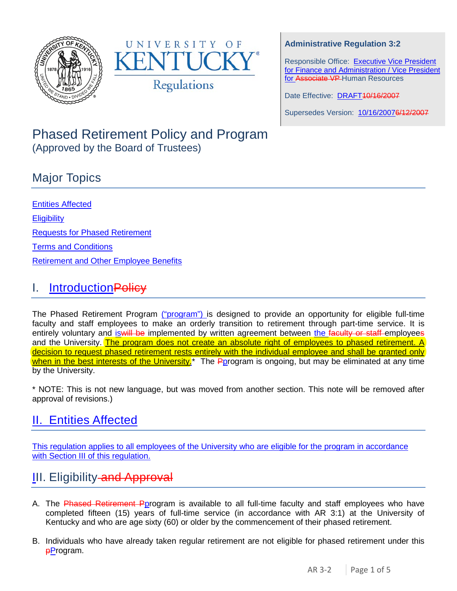



### **Administrative Regulation 3:2**

Responsible Office: Executive Vice President for Finance and Administration / Vice President for Associate VP Human Resources

Date Effective: DRAFT40/16/2007

Supersedes Version: 10/16/20076/12/2007

### Phased Retirement Policy and Program (Approved by the Board of Trustees)

### Major Topics

Entities Affected **Eligibility** Requests for Phased Retirement [Terms and Conditions](#page-2-0) [Retirement and Other Employee Benefits](#page-3-0)

### I. Introduction Policy

The Phased Retirement Program ("program") is designed to provide an opportunity for eligible full-time faculty and staff employees to make an orderly transition to retirement through part-time service. It is entirely voluntary and is will be implemented by written agreement between the faculty or staff employees and the University. The program does not create an absolute right of employees to phased retirement. A decision to request phased retirement rests entirely with the individual employee and shall be granted only when in the best interests of the University.<sup>\*</sup> The Pprogram is ongoing, but may be eliminated at any time by the University.

\* NOTE: This is not new language, but was moved from another section. This note will be removed after approval of revisions.)

## II. Entities Affected

This regulation applies to all employees of the University who are eligible for the program in accordance with Section III of this regulation.

# **III. Eligibility-and Approval**

- A. The Phased Retirement Pprogram is available to all full-time faculty and staff employees who have completed fifteen (15) years of full-time service (in accordance with AR 3:1) at the University of Kentucky and who are age sixty (60) or older by the commencement of their phased retirement.
- B. Individuals who have already taken regular retirement are not eligible for phased retirement under this **pProgram.**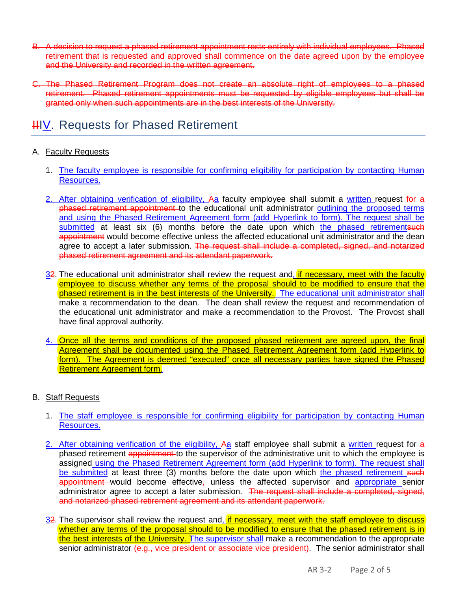- B. A decision to request a phased retirement appointment rests entirely with individual employees. Phased retirement that is requested and approved shall commence on the date agreed upon by the employee and the University and recorded in the written agreement.
- C. The Phased Retirement Program does not create an absolute right of employees to a phased retirement. Phased retirement appointments must be requested by eligible employees but shall be granted only when such appointments are in the best interests of the University.

### **HIV. Requests for Phased Retirement**

#### A. Faculty Requests

- 1. The faculty employee is responsible for confirming eligibility for participation by contacting Human Resources.
- 2. After obtaining verification of eligibility, Aa faculty employee shall submit a written request for a phased retirement appointment to the educational unit administrator outlining the proposed terms and using the Phased Retirement Agreement form (add Hyperlink to form). The request shall be submitted at least six (6) months before the date upon which the phased retirementsuch appointment would become effective unless the affected educational unit administrator and the dean agree to accept a later submission. The request shall include a completed, signed, and notarized phased retirement agreement and its attendant paperwork.
- 32. The educational unit administrator shall review the request and, if necessary, meet with the faculty employee to discuss whether any terms of the proposal should to be modified to ensure that the phased retirement is in the best interests of the University. The educational unit administrator shall make a recommendation to the dean. The dean shall review the request and recommendation of the educational unit administrator and make a recommendation to the Provost. The Provost shall have final approval authority.
- 4. Once all the terms and conditions of the proposed phased retirement are agreed upon, the final Agreement shall be documented using the Phased Retirement Agreement form (add Hyperlink to form). The Agreement is deemed "executed" once all necessary parties have signed the Phased Retirement Agreement form.

#### B. Staff Requests

- 1. The staff employee is responsible for confirming eligibility for participation by contacting Human Resources.
- 2. After obtaining verification of the eligibility, Aa staff employee shall submit a written request for a phased retirement appointment to the supervisor of the administrative unit to which the employee is assigned using the Phased Retirement Agreement form (add Hyperlink to form). The request shall be submitted at least three (3) months before the date upon which the phased retirement such appointment would become effective, unless the affected supervisor and appropriate senior administrator agree to accept a later submission. The request shall include a completed, signed, and notarized phased retirement agreement and its attendant paperwork.
- 32. The supervisor shall review the request and, if necessary, meet with the staff employee to discuss whether any terms of the proposal should to be modified to ensure that the phased retirement is in the best interests of the University. The supervisor shall make a recommendation to the appropriate senior administrator (e.g., vice president or associate vice president). The senior administrator shall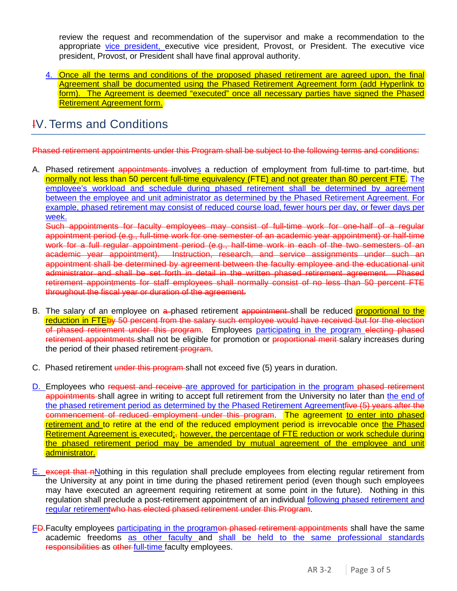review the request and recommendation of the supervisor and make a recommendation to the appropriate vice president, executive vice president, Provost, or President. The executive vice president, Provost, or President shall have final approval authority.

4. Once all the terms and conditions of the proposed phased retirement are agreed upon, the final Agreement shall be documented using the Phased Retirement Agreement form (add Hyperlink to form). The Agreement is deemed "executed" once all necessary parties have signed the Phased Retirement Agreement form.

## <span id="page-2-0"></span>IV. Terms and Conditions

Phased retirement appointments under this Program shall be subject to the following terms and conditions:

A. Phased retirement appointments involves a reduction of employment from full-time to part-time, but normally not less than 50 percent full-time equivalency (FTE) and not greater than 80 percent FTE. The employee's workload and schedule during phased retirement shall be determined by agreement between the employee and unit administrator as determined by the Phased Retirement Agreement. For example, phased retirement may consist of reduced course load, fewer hours per day, or fewer days per week.

Such appointments for faculty employees may consist of full-time work for one-half of a regular appointment period (e.g., full-time work for one semester of an academic year appointment) or half-time work for a full regular appointment period (e.g., half-time work in each of the two semesters of an academic year appointment). Instruction, research, and service assignments under such an appointment shall be determined by agreement between the faculty employee and the educational unit administrator and shall be set forth in detail in the written phased retirement agreement. Phased retirement appointments for staff employees shall normally consist of no less than 50 percent FTE throughout the fiscal year or duration of the agreement.

- B. The salary of an employee on a phased retirement appointment shall be reduced proportional to the reduction in FTEby 50 percent from the salary such employee would have received but for the election of phased retirement under this program. Employees participating in the program electing phased retirement appointments shall not be eligible for promotion or proportional merit-salary increases during the period of their phased retirement-program.
- C. Phased retirement under this program shall not exceed five (5) years in duration.
- D. Employees who request and receive are approved for participation in the program phased retirement appointments shall agree in writing to accept full retirement from the University no later than the end of the phased retirement period as determined by the Phased Retirement Agreementfive (5) years after the commencement of reduced employment under this program. The agreement to enter into phased retirement and to retire at the end of the reduced employment period is irrevocable once the Phased Retirement Agreement is executed; however, the percentage of FTE reduction or work schedule during the phased retirement period may be amended by mutual agreement of the employee and unit administrator.
- E. except that nNothing in this regulation shall preclude employees from electing regular retirement from the University at any point in time during the phased retirement period (even though such employees may have executed an agreement requiring retirement at some point in the future). Nothing in this regulation shall preclude a post-retirement appointment of an individual following phased retirement and regular retirementwho has elected phased retirement under this Program.
- FD. Faculty employees participating in the programon phased retirement appointments shall have the same academic freedoms as other faculty and shall be held to the same professional standards responsibilities as other full-time faculty employees.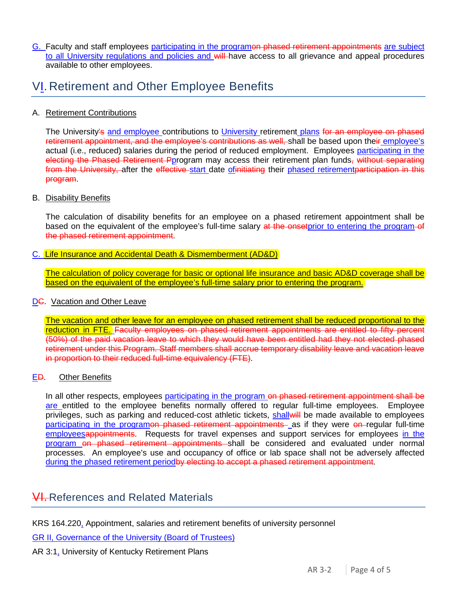G. Faculty and staff employees participating in the programon phased retirement appointments are subject to all University regulations and policies and will have access to all grievance and appeal procedures available to other employees.

### <span id="page-3-0"></span>VI. Retirement and Other Employee Benefits

#### A. Retirement Contributions

The University's and employee contributions to University retirement plans for an employee on phased retirement appointment, and the employee's contributions as well, shall be based upon their employee's actual (i.e., reduced) salaries during the period of reduced employment. Employees participating in the electing the Phased Retirement Pprogram may access their retirement plan funds, without separating from the University, after the effective start date of initiating their phased retirement participation in this program.

#### B. Disability Benefits

The calculation of disability benefits for an employee on a phased retirement appointment shall be based on the equivalent of the employee's full-time salary at the onsetprior to entering the program-of the phased retirement appointment.

#### C. Life Insurance and Accidental Death & Dismemberment (AD&D)

The calculation of policy coverage for basic or optional life insurance and basic AD&D coverage shall be based on the equivalent of the employee's full-time salary prior to entering the program.

#### DG. Vacation and Other Leave

The vacation and other leave for an employee on phased retirement shall be reduced proportional to the reduction in FTE. Faculty employees on phased retirement appointments are entitled to fifty percent (50%) of the paid vacation leave to which they would have been entitled had they not elected phased retirement under this Program. Staff members shall accrue temporary disability leave and vacation leave in proportion to their reduced full-time equivalency (FTE).

#### ED. Other Benefits

In all other respects, employees participating in the program on phased retirement appointment shall be are entitled to the employee benefits normally offered to regular full-time employees. Employee privileges, such as parking and reduced-cost athletic tickets, shall will be made available to employees participating in the programon phased retirement appointments as if they were on regular full-time employeesappointments. Requests for travel expenses and support services for employees in the program on phased retirement appointments shall be considered and evaluated under normal processes. An employee's use and occupancy of office or lab space shall not be adversely affected during the phased retirement periodby electing to accept a phased retirement appointment.

### **VI.** References and Related Materials

KRS 164.220, Appointment, salaries and retirement benefits of university personnel

GR II, Governance of the University (Board of Trustees)

#### AR 3:1, University of Kentucky Retirement Plans